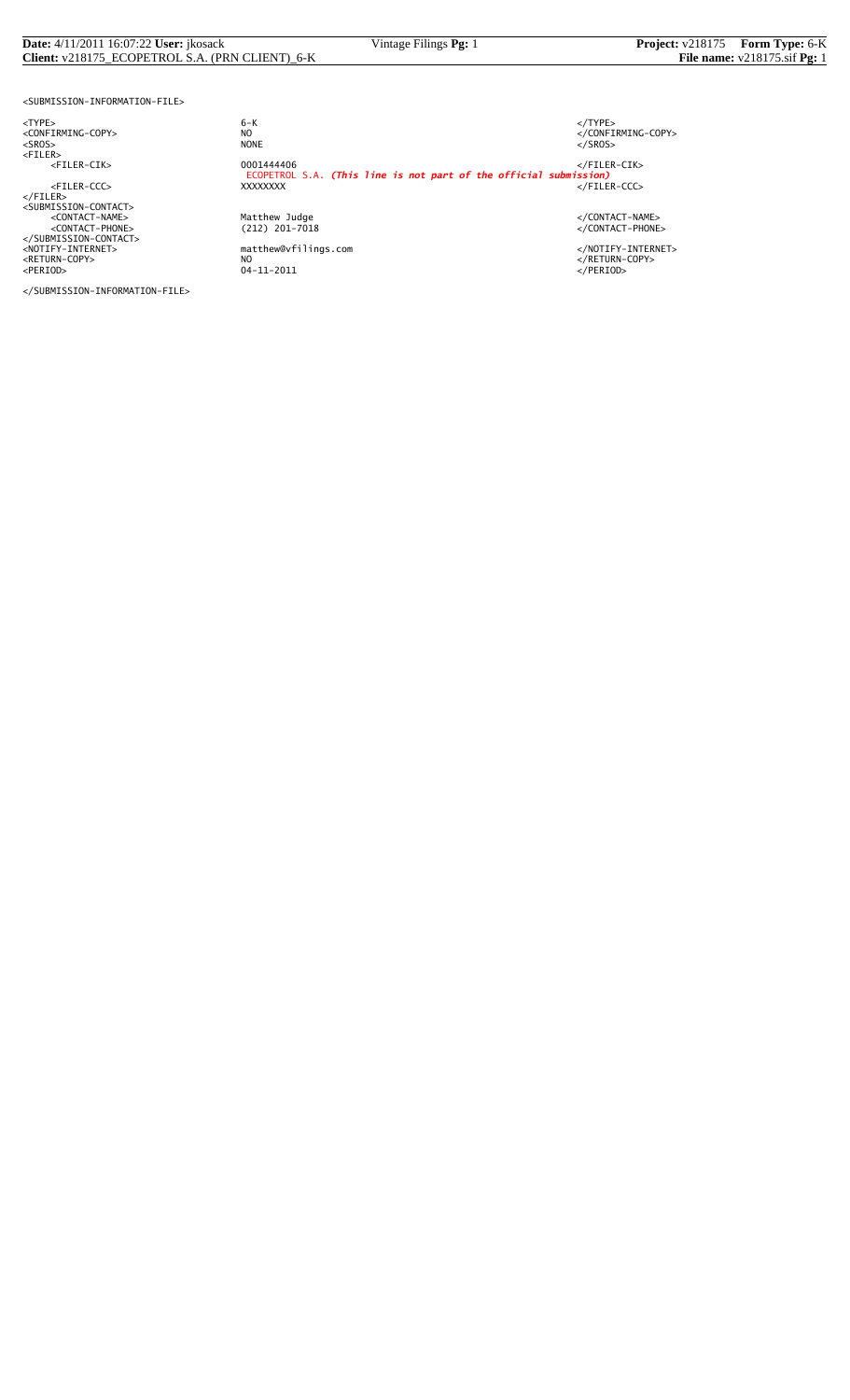#### **Date:** 4/11/2011 16:07:22 **User:** jkosack Vintage Filings **Pg:** 1 **Project:** v218175 **Form Type:** 6-K **Client:** v218175\_ECOPETROL S.A. (PRN CLIENT)\_6-K **File name:** v218175.sif **Pg:** 1

<SUBMISSION-INFORMATION-FILE>

<NOTIFY-INTERNET> matthew@vfilings.com </NOTIFY-INTERNET> <RETURN-COPY> NO </RETURN-COPY> <PERIOD> 04-11-2011 </PERIOD>

</SUBMISSION-INFORMATION-FILE>

<TYPE> 6-K </TYPE> essence<br>
NO<br>
NO CONFIRMING-COPY><br>
NONE<br>
</SROS> <SROS> NONE </SROS> <FILER> <FILER-CIK> 0001444406 </FILER-CIK> ECOPETROL S.A. *(This line is not part of the official submission)* <FILER-CCC> XXXXXXXX </FILER-CCC> </FILER><br><SUBMISSION-CONTACT><br><CONTACT-NAME> </CONTACT-NAME></CONTACT-NAME><br><</CONTACT-PHONE></CONTACT-PHONE></CONTACT-PHONE><br></SUBMISSION-CONTACT>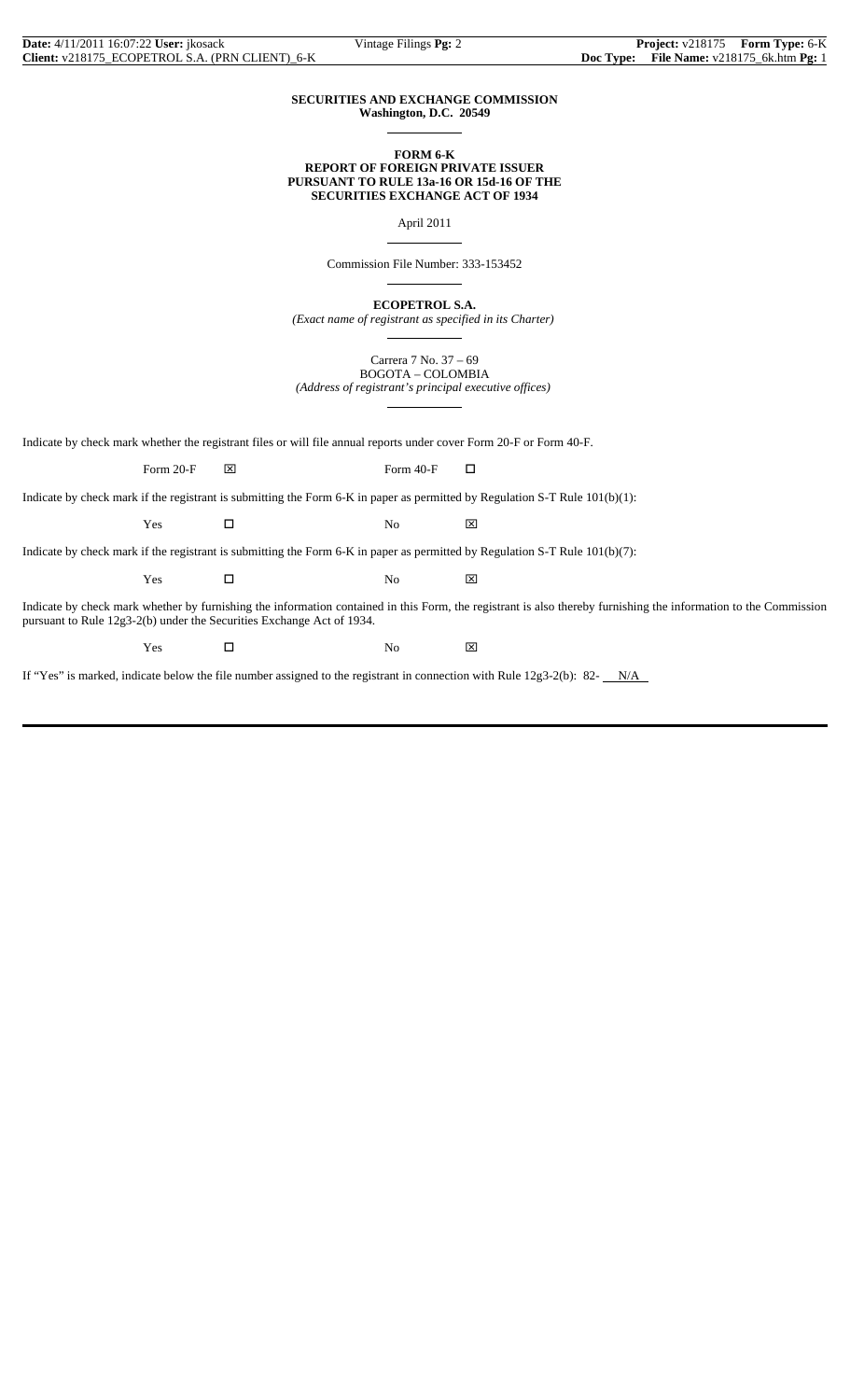#### **SECURITIES AND EXCHANGE COMMISSION Washington, D.C. 20549**

 $\overline{a}$ 

 $\overline{a}$ 

 $\overline{a}$ 

 $\overline{a}$ 

 $\overline{a}$ 

**FORM 6-K REPORT OF FOREIGN PRIVATE ISSUER PURSUANT TO RULE 13a-16 OR 15d-16 OF THE SECURITIES EXCHANGE ACT OF 1934**

April 2011

Commission File Number: 333-153452

**ECOPETROL S.A.**

*(Exact name of registrant as specified in its Charter)*

Carrera 7 No. 37 – 69 BOGOTA – COLOMBIA *(Address of registrant's principal executive offices)*

Indicate by check mark whether the registrant files or will file annual reports under cover Form 20-F or Form 40-F.

Form 20-F  $\boxtimes$  Form 40-F  $\Box$ 

Indicate by check mark if the registrant is submitting the Form 6-K in paper as permitted by Regulation S-T Rule 101(b)(1):

Yes □ No ⊠

Indicate by check mark if the registrant is submitting the Form 6-K in paper as permitted by Regulation S-T Rule 101(b)(7):

 $Yes$   $\Box$  No  $\boxtimes$ 

Indicate by check mark whether by furnishing the information contained in this Form, the registrant is also thereby furnishing the information to the Commission pursuant to Rule 12g3-2(b) under the Securities Exchange Act of 1934.

 $Yes$   $\square$  No  $\boxtimes$ 

If "Yes" is marked, indicate below the file number assigned to the registrant in connection with Rule  $12g3-2(b)$ : 82- $N/A$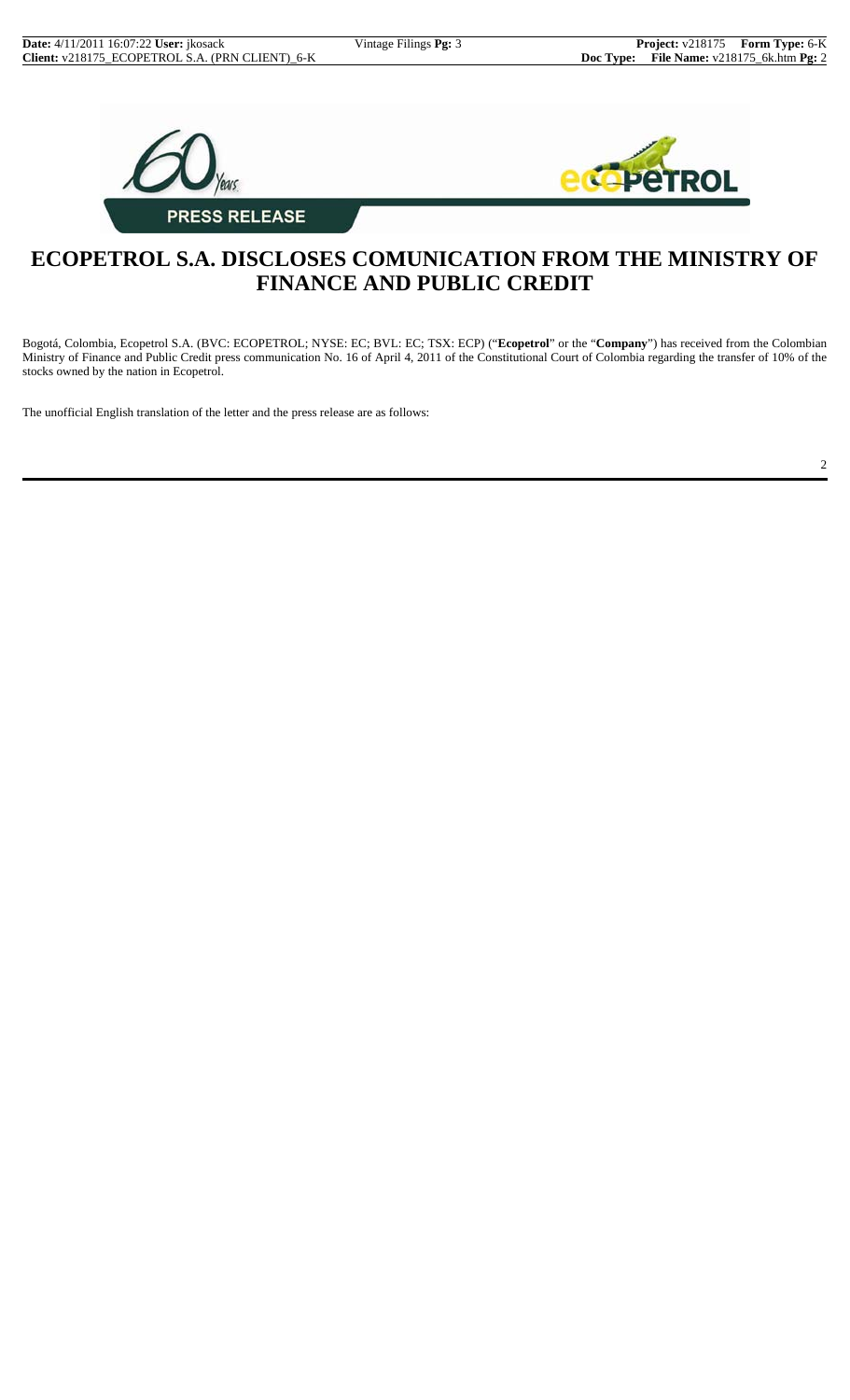2





# **ECOPETROL S.A. DISCLOSES COMUNICATION FROM THE MINISTRY OF FINANCE AND PUBLIC CREDIT**

Bogotá, Colombia, Ecopetrol S.A. (BVC: ECOPETROL; NYSE: EC; BVL: EC; TSX: ECP) ("**Ecopetrol**" or the "**Company**") has received from the Colombian Ministry of Finance and Public Credit press communication No. 16 of April 4, 2011 of the Constitutional Court of Colombia regarding the transfer of 10% of the stocks owned by the nation in Ecopetrol.

The unofficial English translation of the letter and the press release are as follows: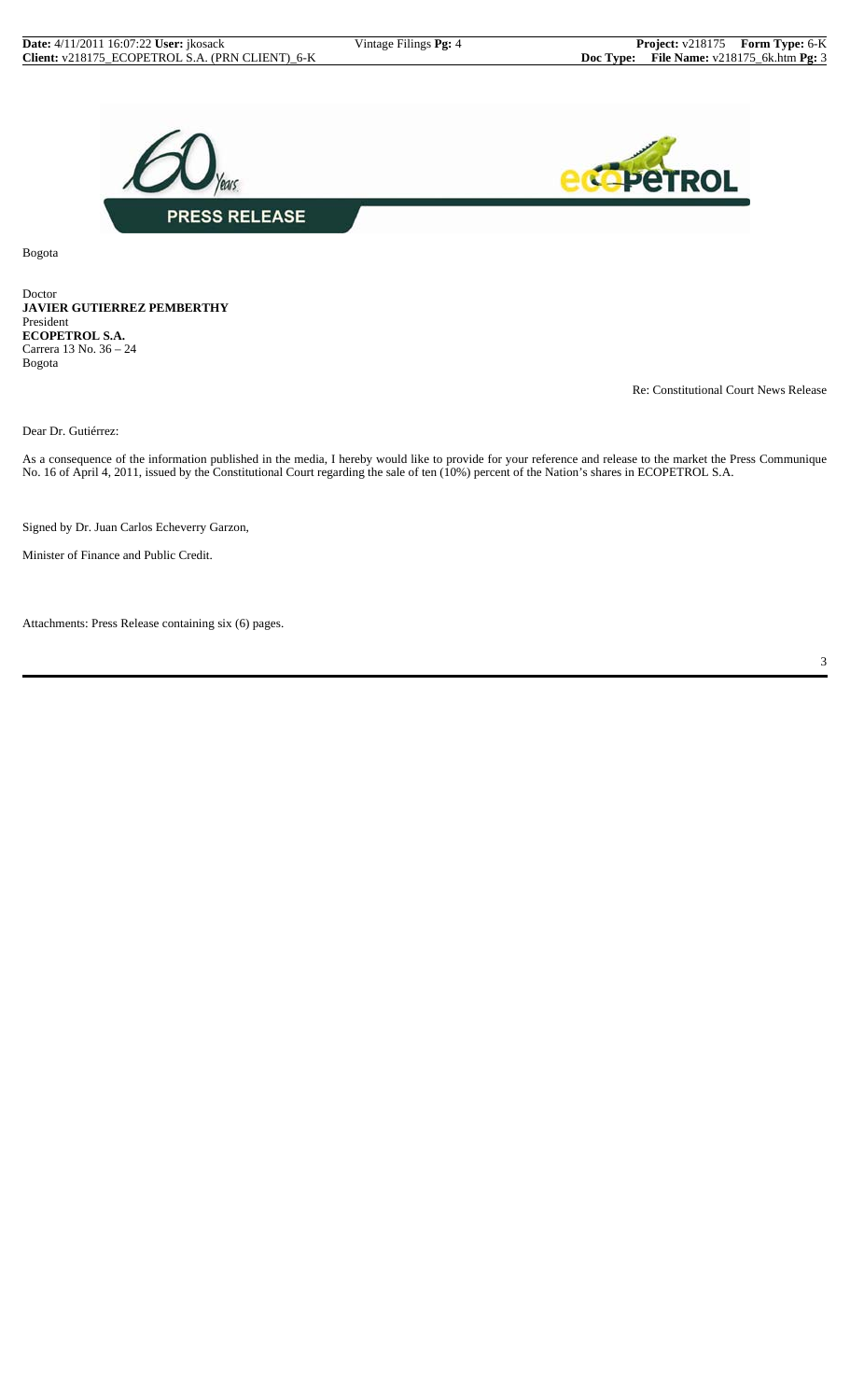

Bogota

Doctor **JAVIER GUTIERREZ PEMBERTHY** President **ECOPETROL S.A.** Carrera 13 No. 36 – 24 Bogota

Re: Constitutional Court News Release

Dear Dr. Gutiérrez:

As a consequence of the information published in the media, I hereby would like to provide for your reference and release to the market the Press Communique No. 16 of April 4, 2011, issued by the Constitutional Court regarding the sale of ten (10%) percent of the Nation's shares in ECOPETROL S.A.

Signed by Dr. Juan Carlos Echeverry Garzon,

Minister of Finance and Public Credit.

Attachments: Press Release containing six (6) pages.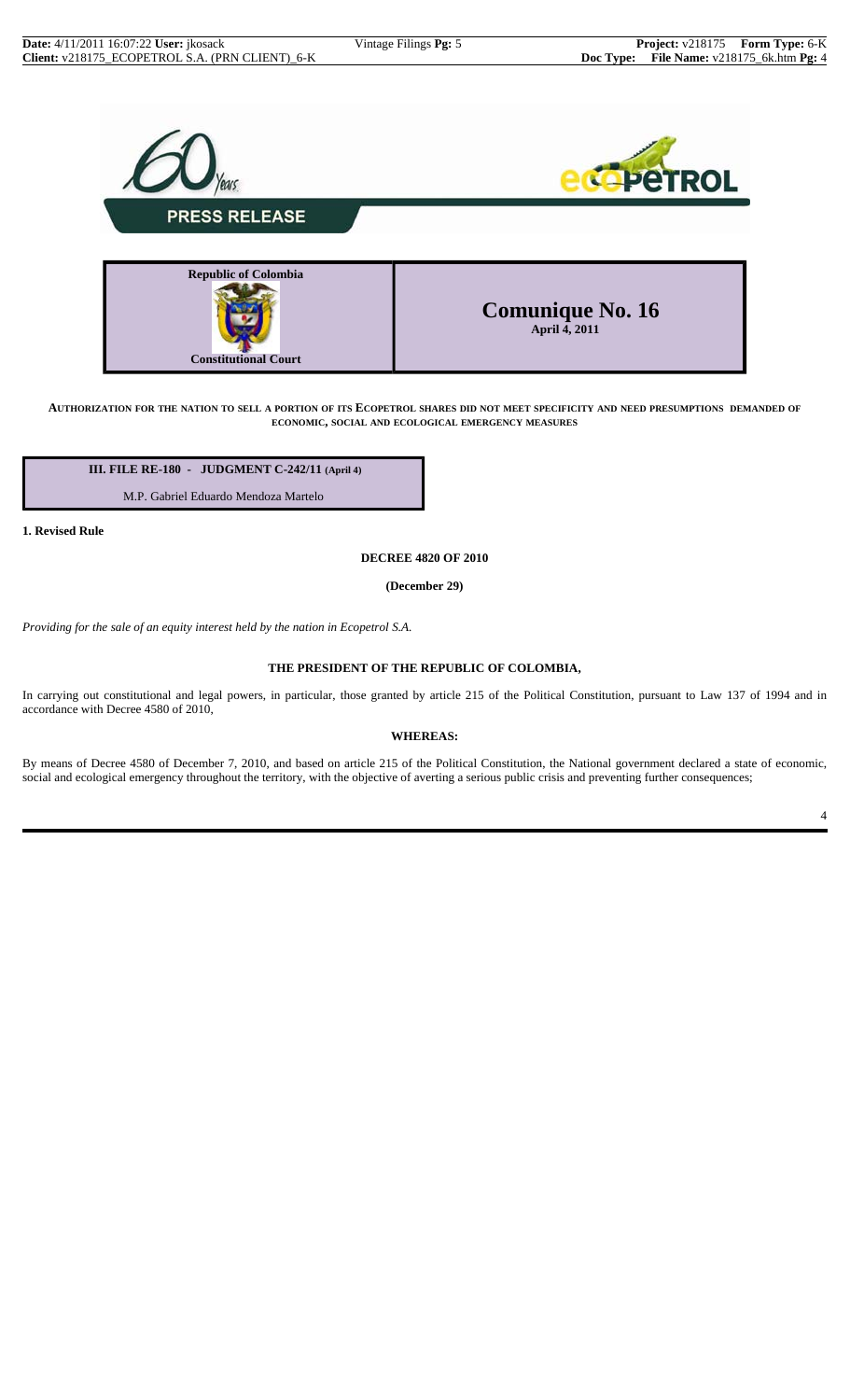



AUTHORIZATION FOR THE NATION TO SELL A PORTION OF ITS ECOPETROL SHARES DID NOT MEET SPECIFICITY AND NEED PRESUMPTIONS DEMANDED OF **ECONOMIC, SOCIAL AND ECOLOGICAL EMERGENCY MEASURES**

 **III. FILE RE-180 - JUDGMENT C-242/11 (April 4)**

M.P. Gabriel Eduardo Mendoza Martelo

**1. Revised Rule**

**DECREE 4820 OF 2010**

**(December 29)**

*Providing for the sale of an equity interest held by the nation in Ecopetrol S.A.*

### **THE PRESIDENT OF THE REPUBLIC OF COLOMBIA,**

In carrying out constitutional and legal powers, in particular, those granted by article 215 of the Political Constitution, pursuant to Law 137 of 1994 and in accordance with Decree 4580 of 2010,

#### **WHEREAS:**

By means of Decree 4580 of December 7, 2010, and based on article 215 of the Political Constitution, the National government declared a state of economic, social and ecological emergency throughout the territory, with the objective of averting a serious public crisis and preventing further consequences;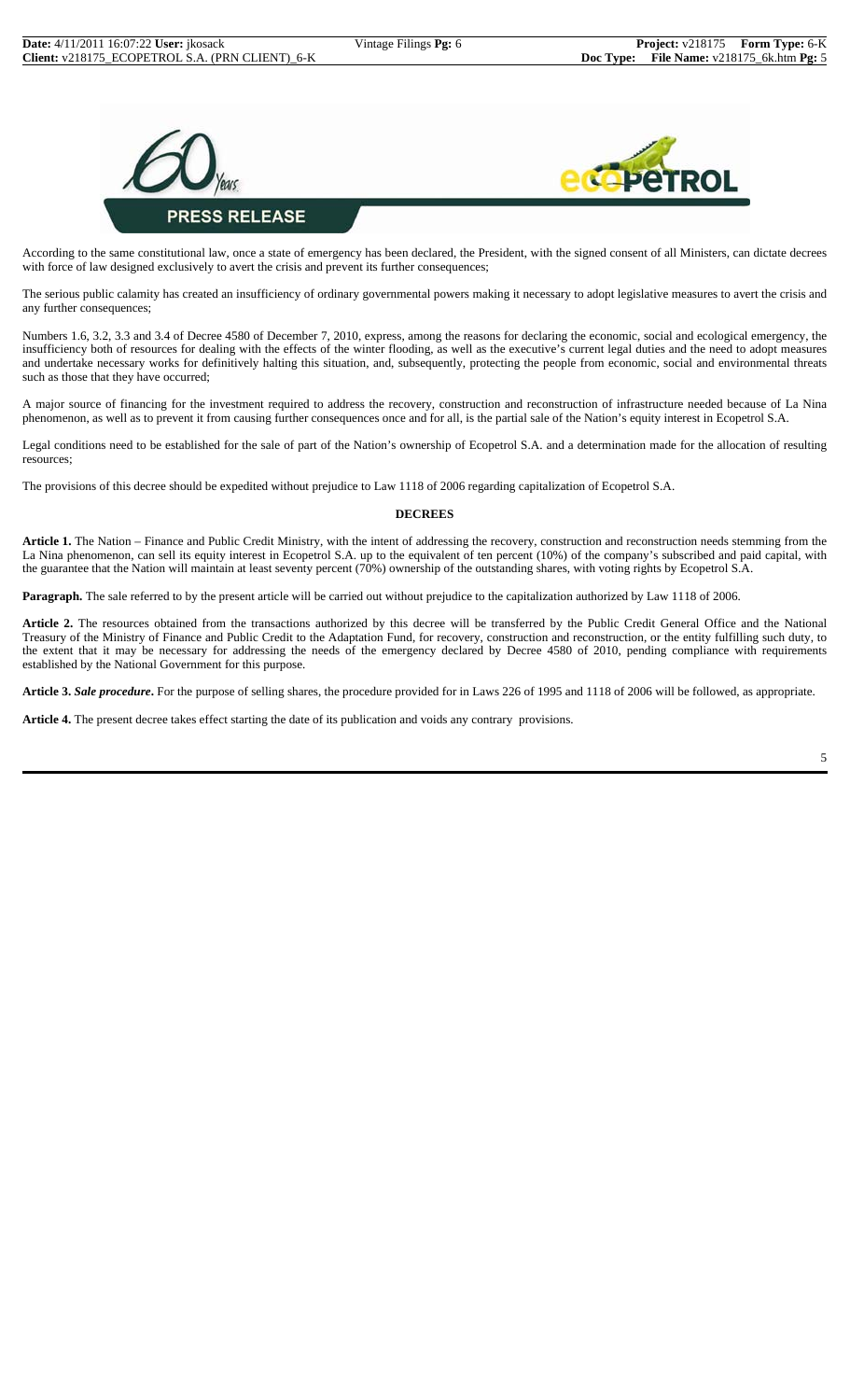



According to the same constitutional law, once a state of emergency has been declared, the President, with the signed consent of all Ministers, can dictate decrees with force of law designed exclusively to avert the crisis and prevent its further consequences;

The serious public calamity has created an insufficiency of ordinary governmental powers making it necessary to adopt legislative measures to avert the crisis and any further consequences;

Numbers 1.6, 3.2, 3.3 and 3.4 of Decree 4580 of December 7, 2010, express, among the reasons for declaring the economic, social and ecological emergency, the insufficiency both of resources for dealing with the effects of the winter flooding, as well as the executive's current legal duties and the need to adopt measures and undertake necessary works for definitively halting this situation, and, subsequently, protecting the people from economic, social and environmental threats such as those that they have occurred;

A major source of financing for the investment required to address the recovery, construction and reconstruction of infrastructure needed because of La Nina phenomenon, as well as to prevent it from causing further consequences once and for all, is the partial sale of the Nation's equity interest in Ecopetrol S.A.

Legal conditions need to be established for the sale of part of the Nation's ownership of Ecopetrol S.A. and a determination made for the allocation of resulting resources;

The provisions of this decree should be expedited without prejudice to Law 1118 of 2006 regarding capitalization of Ecopetrol S.A.

#### **DECREES**

Article 1. The Nation – Finance and Public Credit Ministry, with the intent of addressing the recovery, construction and reconstruction needs stemming from the La Nina phenomenon, can sell its equity interest in Ecopetrol S.A. up to the equivalent of ten percent (10%) of the company's subscribed and paid capital, with the guarantee that the Nation will maintain at least seventy percent (70%) ownership of the outstanding shares, with voting rights by Ecopetrol S.A.

**Paragraph.** The sale referred to by the present article will be carried out without prejudice to the capitalization authorized by Law 1118 of 2006.

**Article 2.** The resources obtained from the transactions authorized by this decree will be transferred by the Public Credit General Office and the National Treasury of the Ministry of Finance and Public Credit to the Adaptation Fund, for recovery, construction and reconstruction, or the entity fulfilling such duty, to the extent that it may be necessary for addressing the needs of the emergency declared by Decree 4580 of 2010, pending compliance with requirements established by the National Government for this purpose.

**Article 3.** *Sale procedure***.** For the purpose of selling shares, the procedure provided for in Laws 226 of 1995 and 1118 of 2006 will be followed, as appropriate.

**Article 4.** The present decree takes effect starting the date of its publication and voids any contrary provisions.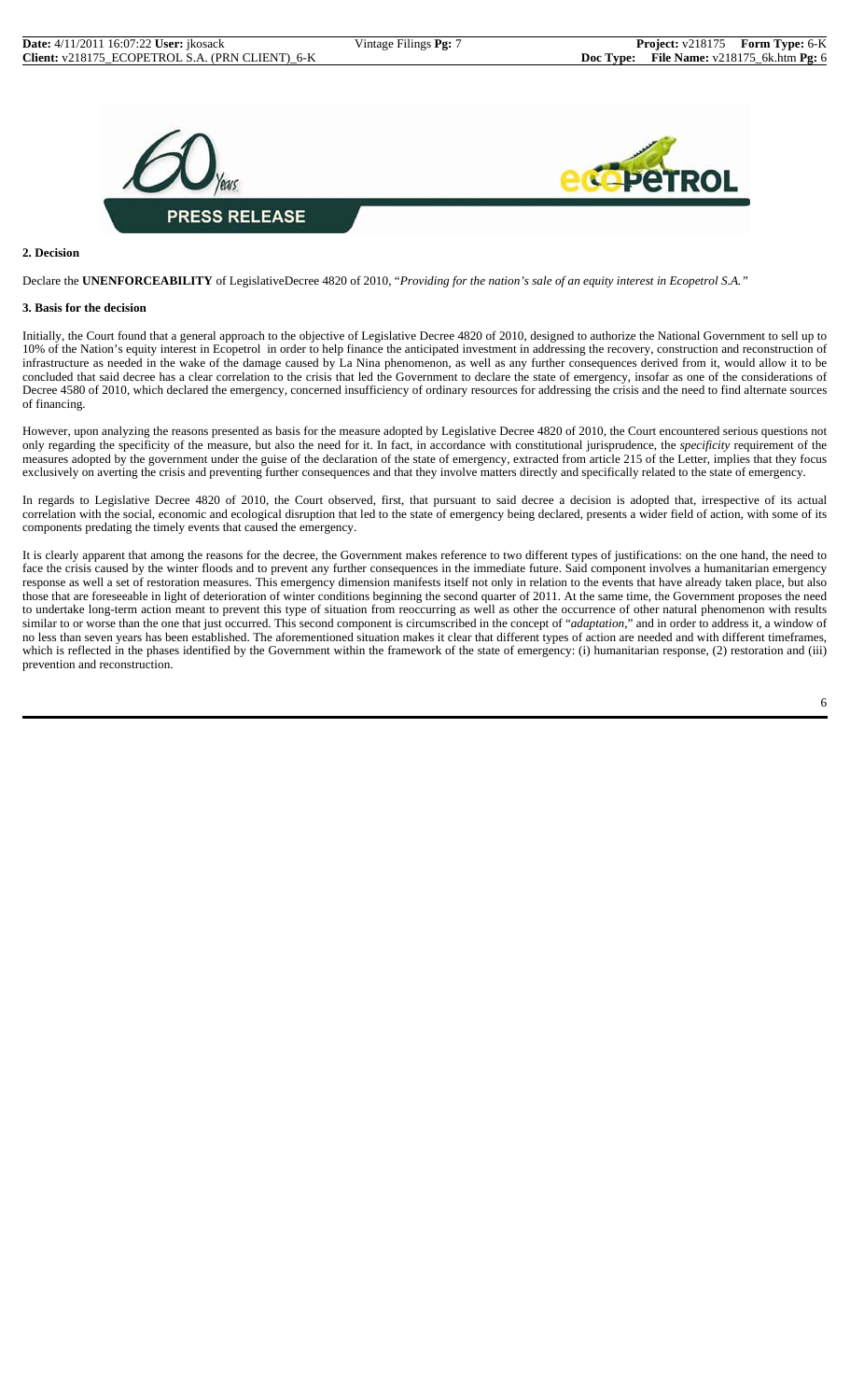

#### **2. Decision**

Declare the **UNENFORCEABILITY** of LegislativeDecree 4820 of 2010, "*Providing for the nation's sale of an equity interest in Ecopetrol S.A."*

#### **3. Basis for the decision**

Initially, the Court found that a general approach to the objective of Legislative Decree 4820 of 2010, designed to authorize the National Government to sell up to 10% of the Nation's equity interest in Ecopetrol in order to help finance the anticipated investment in addressing the recovery, construction and reconstruction of infrastructure as needed in the wake of the damage caused by La Nina phenomenon, as well as any further consequences derived from it, would allow it to be concluded that said decree has a clear correlation to the crisis that led the Government to declare the state of emergency, insofar as one of the considerations of Decree 4580 of 2010, which declared the emergency, concerned insufficiency of ordinary resources for addressing the crisis and the need to find alternate sources of financing.

However, upon analyzing the reasons presented as basis for the measure adopted by Legislative Decree 4820 of 2010, the Court encountered serious questions not only regarding the specificity of the measure, but also the need for it. In fact, in accordance with constitutional jurisprudence, the *specificity* requirement of the measures adopted by the government under the guise of the declaration of the state of emergency, extracted from article 215 of the Letter, implies that they focus exclusively on averting the crisis and preventing further consequences and that they involve matters directly and specifically related to the state of emergency.

In regards to Legislative Decree 4820 of 2010, the Court observed, first, that pursuant to said decree a decision is adopted that, irrespective of its actual correlation with the social, economic and ecological disruption that led to the state of emergency being declared, presents a wider field of action, with some of its components predating the timely events that caused the emergency.

It is clearly apparent that among the reasons for the decree, the Government makes reference to two different types of justifications: on the one hand, the need to face the crisis caused by the winter floods and to prevent any further consequences in the immediate future. Said component involves a humanitarian emergency response as well a set of restoration measures. This emergency dimension manifests itself not only in relation to the events that have already taken place, but also those that are foreseeable in light of deterioration of winter conditions beginning the second quarter of 2011. At the same time, the Government proposes the need to undertake long-term action meant to prevent this type of situation from reoccurring as well as other the occurrence of other natural phenomenon with results similar to or worse than the one that just occurred. This second component is circumscribed in the concept of "*adaptation*," and in order to address it, a window of no less than seven years has been established. The aforementioned situation makes it clear that different types of action are needed and with different timeframes, which is reflected in the phases identified by the Government within the framework of the state of emergency: (i) humanitarian response, (2) restoration and (iii) prevention and reconstruction.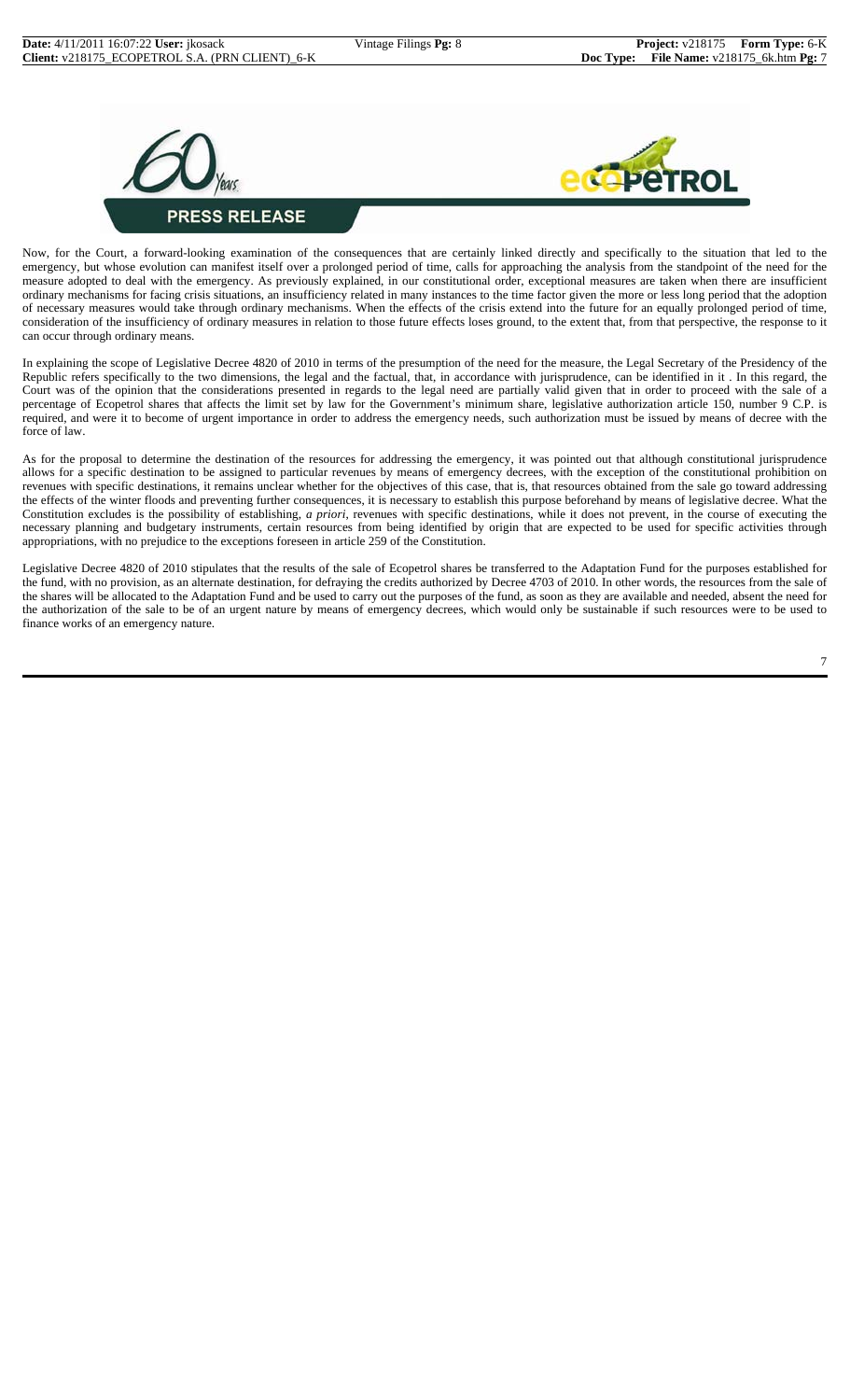



Now, for the Court, a forward-looking examination of the consequences that are certainly linked directly and specifically to the situation that led to the emergency, but whose evolution can manifest itself over a prolonged period of time, calls for approaching the analysis from the standpoint of the need for the measure adopted to deal with the emergency. As previously explained, in our constitutional order, exceptional measures are taken when there are insufficient ordinary mechanisms for facing crisis situations, an insufficiency related in many instances to the time factor given the more or less long period that the adoption of necessary measures would take through ordinary mechanisms. When the effects of the crisis extend into the future for an equally prolonged period of time, consideration of the insufficiency of ordinary measures in relation to those future effects loses ground, to the extent that, from that perspective, the response to it can occur through ordinary means.

In explaining the scope of Legislative Decree 4820 of 2010 in terms of the presumption of the need for the measure, the Legal Secretary of the Presidency of the Republic refers specifically to the two dimensions, the legal and the factual, that, in accordance with jurisprudence, can be identified in it . In this regard, the Court was of the opinion that the considerations presented in regards to the legal need are partially valid given that in order to proceed with the sale of a percentage of Ecopetrol shares that affects the limit set by law for the Government's minimum share, legislative authorization article 150, number 9 C.P. is required, and were it to become of urgent importance in order to address the emergency needs, such authorization must be issued by means of decree with the force of law.

As for the proposal to determine the destination of the resources for addressing the emergency, it was pointed out that although constitutional jurisprudence allows for a specific destination to be assigned to particular revenues by means of emergency decrees, with the exception of the constitutional prohibition on revenues with specific destinations, it remains unclear whether for the objectives of this case, that is, that resources obtained from the sale go toward addressing the effects of the winter floods and preventing further consequences, it is necessary to establish this purpose beforehand by means of legislative decree. What the Constitution excludes is the possibility of establishing, *a priori*, revenues with specific destinations, while it does not prevent, in the course of executing the necessary planning and budgetary instruments, certain resources from being identified by origin that are expected to be used for specific activities through appropriations, with no prejudice to the exceptions foreseen in article 259 of the Constitution.

Legislative Decree 4820 of 2010 stipulates that the results of the sale of Ecopetrol shares be transferred to the Adaptation Fund for the purposes established for the fund, with no provision, as an alternate destination, for defraying the credits authorized by Decree 4703 of 2010. In other words, the resources from the sale of the shares will be allocated to the Adaptation Fund and be used to carry out the purposes of the fund, as soon as they are available and needed, absent the need for the authorization of the sale to be of an urgent nature by means of emergency decrees, which would only be sustainable if such resources were to be used to finance works of an emergency nature.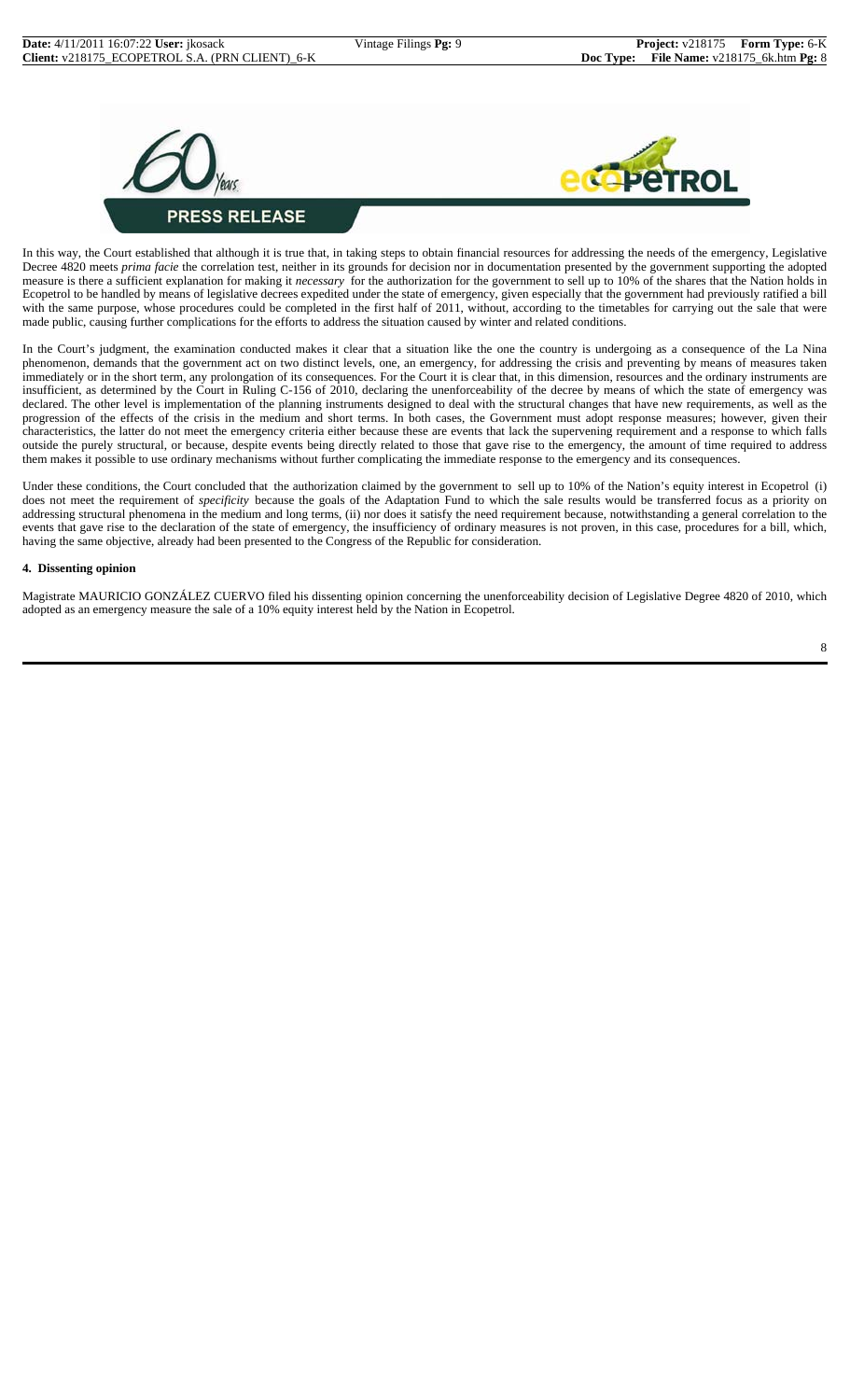



In this way, the Court established that although it is true that, in taking steps to obtain financial resources for addressing the needs of the emergency, Legislative Decree 4820 meets *prima facie* the correlation test, neither in its grounds for decision nor in documentation presented by the government supporting the adopted measure is there a sufficient explanation for making it *necessary* for the authorization for the government to sell up to 10% of the shares that the Nation holds in Ecopetrol to be handled by means of legislative decrees expedited under the state of emergency, given especially that the government had previously ratified a bill with the same purpose, whose procedures could be completed in the first half of 2011, without, according to the timetables for carrying out the sale that were made public, causing further complications for the efforts to address the situation caused by winter and related conditions.

In the Court's judgment, the examination conducted makes it clear that a situation like the one the country is undergoing as a consequence of the La Nina phenomenon, demands that the government act on two distinct levels, one, an emergency, for addressing the crisis and preventing by means of measures taken immediately or in the short term, any prolongation of its consequences. For the Court it is clear that, in this dimension, resources and the ordinary instruments are insufficient, as determined by the Court in Ruling C-156 of 2010, declaring the unenforceability of the decree by means of which the state of emergency was declared. The other level is implementation of the planning instruments designed to deal with the structural changes that have new requirements, as well as the progression of the effects of the crisis in the medium and short terms. In both cases, the Government must adopt response measures; however, given their characteristics, the latter do not meet the emergency criteria either because these are events that lack the supervening requirement and a response to which falls outside the purely structural, or because, despite events being directly related to those that gave rise to the emergency, the amount of time required to address them makes it possible to use ordinary mechanisms without further complicating the immediate response to the emergency and its consequences.

Under these conditions, the Court concluded that the authorization claimed by the government to sell up to 10% of the Nation's equity interest in Ecopetrol (i) does not meet the requirement of *specificity* because the goals of the Adaptation Fund to which the sale results would be transferred focus as a priority on addressing structural phenomena in the medium and long terms, (ii) nor does it satisfy the need requirement because, notwithstanding a general correlation to the events that gave rise to the declaration of the state of emergency, the insufficiency of ordinary measures is not proven, in this case, procedures for a bill, which, having the same objective, already had been presented to the Congress of the Republic for consideration.

#### **4. Dissenting opinion**

Magistrate MAURICIO GONZÁLEZ CUERVO filed his dissenting opinion concerning the unenforceability decision of Legislative Degree 4820 of 2010, which adopted as an emergency measure the sale of a 10% equity interest held by the Nation in Ecopetrol.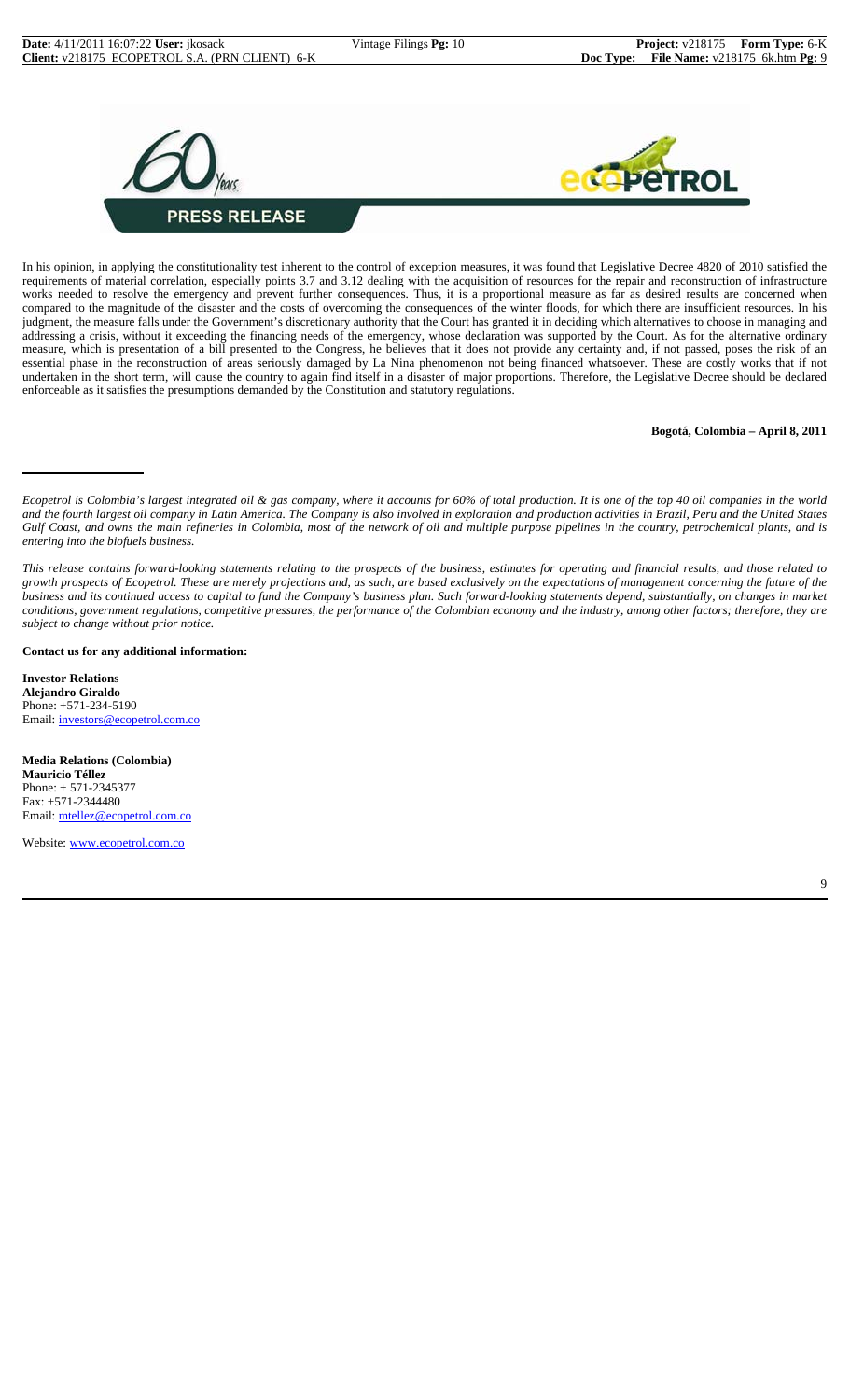



In his opinion, in applying the constitutionality test inherent to the control of exception measures, it was found that Legislative Decree 4820 of 2010 satisfied the requirements of material correlation, especially points 3.7 and 3.12 dealing with the acquisition of resources for the repair and reconstruction of infrastructure works needed to resolve the emergency and prevent further consequences. Thus, it is a proportional measure as far as desired results are concerned when compared to the magnitude of the disaster and the costs of overcoming the consequences of the winter floods, for which there are insufficient resources. In his judgment, the measure falls under the Government's discretionary authority that the Court has granted it in deciding which alternatives to choose in managing and addressing a crisis, without it exceeding the financing needs of the emergency, whose declaration was supported by the Court. As for the alternative ordinary measure, which is presentation of a bill presented to the Congress, he believes that it does not provide any certainty and, if not passed, poses the risk of an essential phase in the reconstruction of areas seriously damaged by La Nina phenomenon not being financed whatsoever. These are costly works that if not undertaken in the short term, will cause the country to again find itself in a disaster of major proportions. Therefore, the Legislative Decree should be declared enforceable as it satisfies the presumptions demanded by the Constitution and statutory regulations.

#### **Bogotá, Colombia – April 8, 2011**

**Contact us for any additional information:**

**Investor Relations Alejandro Giraldo** Phone: +571-234-5190 Email: investors@ecopetrol.com.co

**Media Relations (Colombia) Mauricio Téllez** Phone: + 571-2345377 Fax: +571-2344480 Email: mtellez@ecopetrol.com.co

Website: www.ecopetrol.com.co

*Ecopetrol is Colombia's largest integrated oil & gas company, where it accounts for 60% of total production. It is one of the top 40 oil companies in the world and the fourth largest oil company in Latin America. The Company is also involved in exploration and production activities in Brazil, Peru and the United States Gulf Coast, and owns the main refineries in Colombia, most of the network of oil and multiple purpose pipelines in the country, petrochemical plants, and is entering into the biofuels business.*

*This release contains forward-looking statements relating to the prospects of the business, estimates for operating and financial results, and those related to growth prospects of Ecopetrol. These are merely projections and, as such, are based exclusively on the expectations of management concerning the future of the business and its continued access to capital to fund the Company's business plan. Such forward-looking statements depend, substantially, on changes in market conditions, government regulations, competitive pressures, the performance of the Colombian economy and the industry, among other factors; therefore, they are subject to change without prior notice.*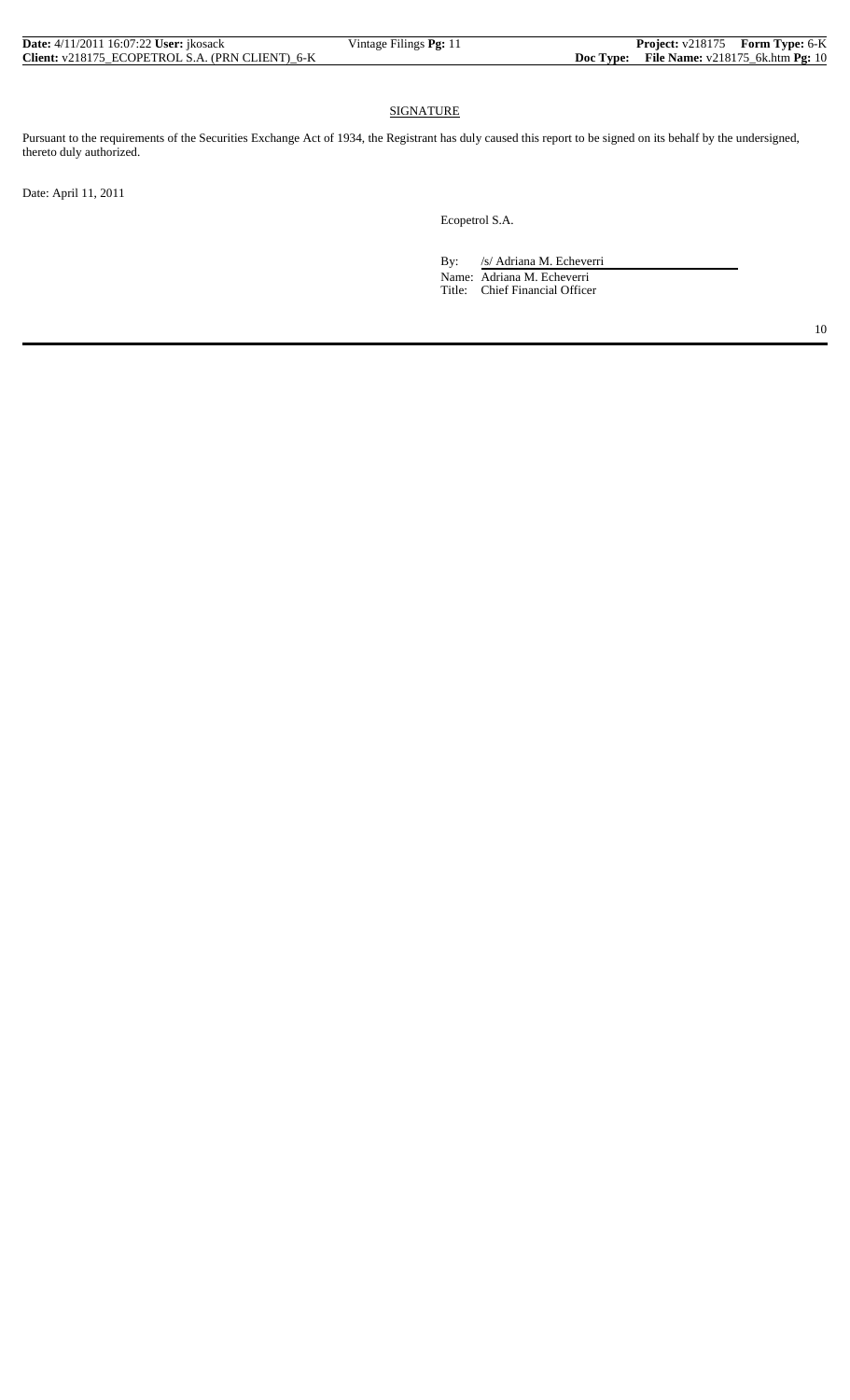| <b>Date:</b> 4/11/2011 16:07:22 <b>User:</b> ikosack | Vintage Filings Pg: 11 | <b>Project:</b> v218175 Form Type: 6-K              |  |
|------------------------------------------------------|------------------------|-----------------------------------------------------|--|
| Client: v218175 ECOPETROL S.A. (PRN CLIENT) 6-K      |                        | <b>Doc Type:</b> File Name: $v218175_6k.htm$ Pg: 10 |  |

## **SIGNATURE**

Pursuant to the requirements of the Securities Exchange Act of 1934, the Registrant has duly caused this report to be signed on its behalf by the undersigned, thereto duly authorized.

Date: April 11, 2011

Ecopetrol S.A.

By: /s/ Adriana M. Echeverri Name: Adriana M. Echeverri Title: Chief Financial Officer